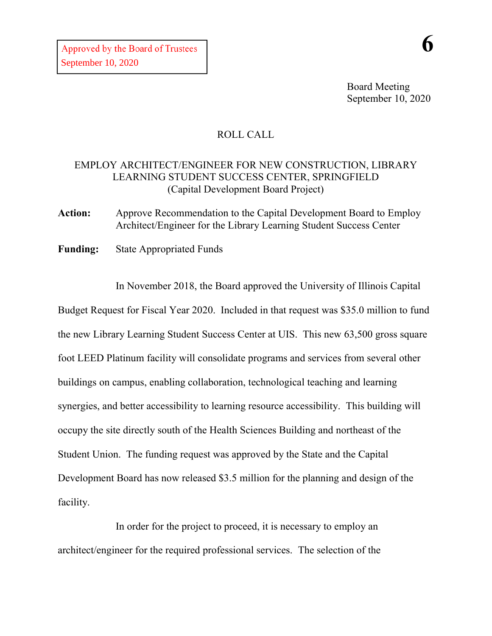Board Meeting September 10, 2020

## ROLL CALL

## EMPLOY ARCHITECT/ENGINEER FOR NEW CONSTRUCTION, LIBRARY LEARNING STUDENT SUCCESS CENTER, SPRINGFIELD (Capital Development Board Project)

**Action:** Approve Recommendation to the Capital Development Board to Employ Architect/Engineer for the Library Learning Student Success Center

**Funding:** State Appropriated Funds

In November 2018, the Board approved the University of Illinois Capital Budget Request for Fiscal Year 2020. Included in that request was \$35.0 million to fund the new Library Learning Student Success Center at UIS. This new 63,500 gross square foot LEED Platinum facility will consolidate programs and services from several other buildings on campus, enabling collaboration, technological teaching and learning synergies, and better accessibility to learning resource accessibility. This building will occupy the site directly south of the Health Sciences Building and northeast of the Student Union. The funding request was approved by the State and the Capital Development Board has now released \$3.5 million for the planning and design of the facility.

In order for the project to proceed, it is necessary to employ an architect/engineer for the required professional services. The selection of the